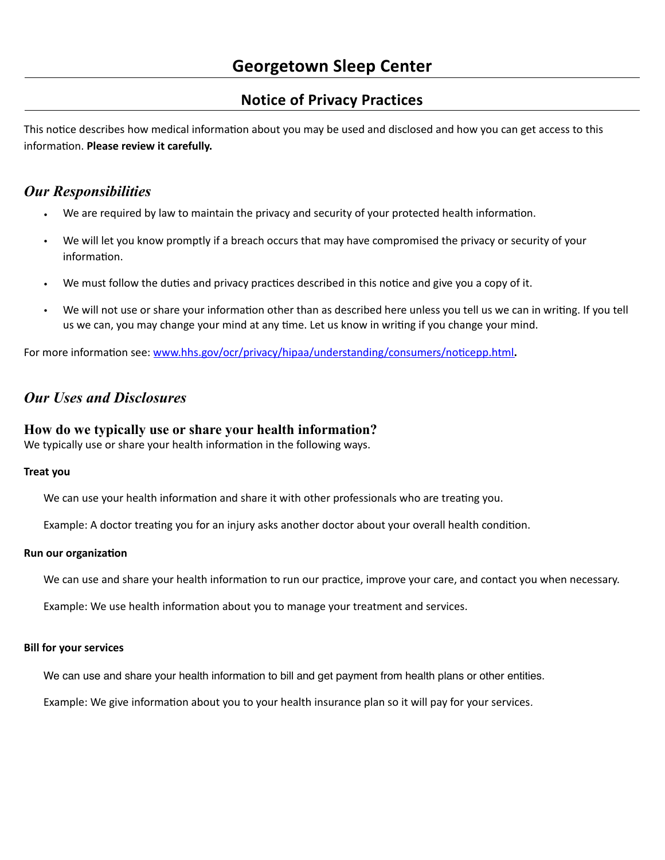# **Notice of Privacy Practices**

This notice describes how medical information about you may be used and disclosed and how you can get access to this information. Please review it carefully.

# *Our Responsibilities*

- We are required by law to maintain the privacy and security of your protected health information.
- We will let you know promptly if a breach occurs that may have compromised the privacy or security of your information.
- We must follow the duties and privacy practices described in this notice and give you a copy of it.
- We will not use or share your information other than as described here unless you tell us we can in writing. If you tell us we can, you may change your mind at any time. Let us know in writing if you change your mind.

For more information see: www.hhs.gov/ocr/privacy/hipaa/understanding/consumers/noticepp.html.

# *Our Uses and Disclosures*

## **How do we typically use or share your health information?**

We typically use or share your health information in the following ways.

## **Treat you**

We can use your health information and share it with other professionals who are treating you.

Example: A doctor treating you for an injury asks another doctor about your overall health condition.

## **Run our organization**

We can use and share your health information to run our practice, improve your care, and contact you when necessary.

Example: We use health information about you to manage your treatment and services.

## **Bill for your services**

We can use and share your health information to bill and get payment from health plans or other entities.

Example: We give information about you to your health insurance plan so it will pay for your services.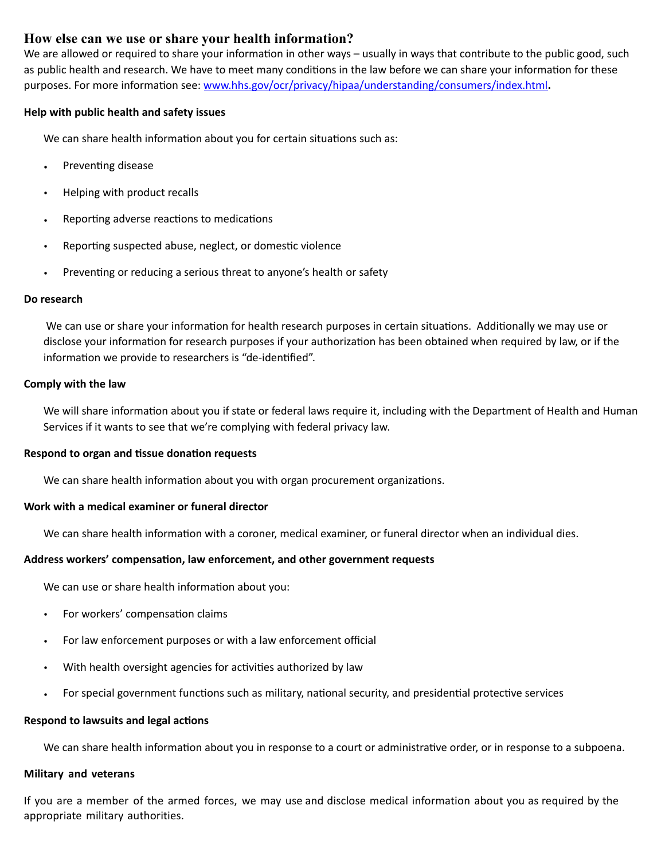## **How else can we use or share your health information?**

We are allowed or required to share your information in other ways – usually in ways that contribute to the public good, such as public health and research. We have to meet many conditions in the law before we can share your information for these purposes. For more information see: [www.hhs.gov/ocr/privacy/hipaa/understanding/consumers/index.html](http://www.hhs.gov/ocr/privacy/hipaa/understanding/consumers/index.html).

## **Help with public health and safety issues**

We can share health information about you for certain situations such as:

- Preventing disease
- Helping with product recalls
- Reporting adverse reactions to medications
- Reporting suspected abuse, neglect, or domestic violence
- Preventing or reducing a serious threat to anyone's health or safety

#### **Do research**

We can use or share your information for health research purposes in certain situations. Additionally we may use or disclose your information for research purposes if your authorization has been obtained when required by law, or if the information we provide to researchers is "de-identified".

## **Comply with the law**

We will share information about you if state or federal laws require it, including with the Department of Health and Human Services if it wants to see that we're complying with federal privacy law.

## **Respond to organ and tissue donation requests**

We can share health information about you with organ procurement organizations.

## **Work with a medical examiner or funeral director**

We can share health information with a coroner, medical examiner, or funeral director when an individual dies.

## Address workers' compensation, law enforcement, and other government requests

We can use or share health information about you:

- For workers' compensation claims
- For law enforcement purposes or with a law enforcement official
- With health oversight agencies for activities authorized by law
- For special government functions such as military, national security, and presidential protective services

## **Respond to lawsuits and legal actions**

We can share health information about you in response to a court or administrative order, or in response to a subpoena.

#### **Military and veterans**

If you are a member of the armed forces, we may use and disclose medical information about you as required by the appropriate military authorities.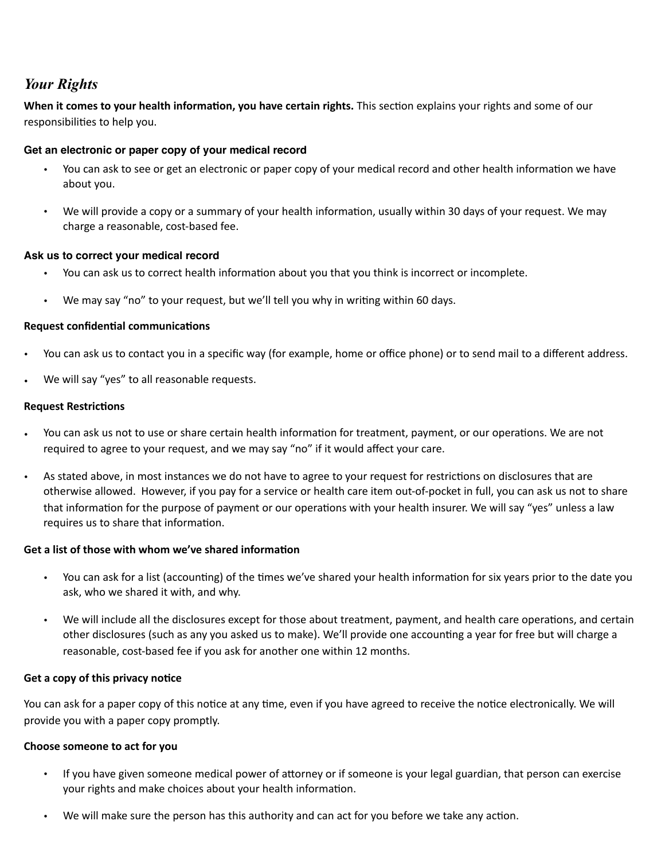# *Your Rights*

When it comes to your health information, you have certain rights. This section explains your rights and some of our responsibilities to help you.

## **Get an electronic or paper copy of your medical record**

- You can ask to see or get an electronic or paper copy of your medical record and other health information we have about you.
- We will provide a copy or a summary of your health information, usually within 30 days of your request. We may charge a reasonable, cost-based fee.

## **Ask us to correct your medical record**

- You can ask us to correct health information about you that you think is incorrect or incomplete.
- We may say "no" to your request, but we'll tell you why in writing within 60 days.

## **Request confidential communications**

- You can ask us to contact you in a specific way (for example, home or office phone) or to send mail to a different address.
- We will say "yes" to all reasonable requests.

## **Request Restrictions**

- You can ask us not to use or share certain health information for treatment, payment, or our operations. We are not required to agree to your request, and we may say "no" if it would affect your care.
- As stated above, in most instances we do not have to agree to your request for restrictions on disclosures that are otherwise allowed. However, if you pay for a service or health care item out-of-pocket in full, you can ask us not to share that information for the purpose of payment or our operations with your health insurer. We will say "yes" unless a law requires us to share that information.

## **Get a list of those with whom we've shared information**

- You can ask for a list (accounting) of the times we've shared your health information for six years prior to the date you ask, who we shared it with, and why.
- We will include all the disclosures except for those about treatment, payment, and health care operations, and certain other disclosures (such as any you asked us to make). We'll provide one accounting a year for free but will charge a reasonable, cost-based fee if you ask for another one within 12 months.

## **Get a copy of this privacy notice**

You can ask for a paper copy of this notice at any time, even if you have agreed to receive the notice electronically. We will provide you with a paper copy promptly.

## **Choose someone to act for you**

- If you have given someone medical power of attorney or if someone is your legal guardian, that person can exercise your rights and make choices about your health information.
- We will make sure the person has this authority and can act for you before we take any action.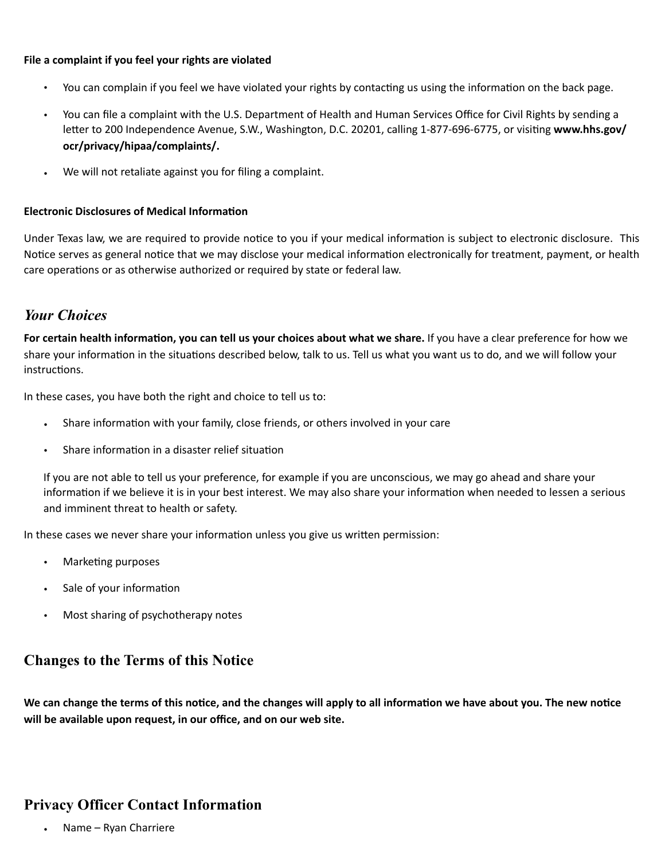## **File a complaint if you feel your rights are violated**

- You can complain if you feel we have violated your rights by contacting us using the information on the back page.
- You can file a complaint with the U.S. Department of Health and Human Services Office for Civil Rights by sending a letter to 200 Independence Avenue, S.W., Washington, D.C. 20201, calling 1-877-696-6775, or visiting www.hhs.gov/ **ocr/privacy/hipaa/complaints/.**
- We will not retaliate against you for filing a complaint.

#### **Electronic Disclosures of Medical Information**

Under Texas law, we are required to provide notice to you if your medical information is subject to electronic disclosure. This Notice serves as general notice that we may disclose your medical information electronically for treatment, payment, or health care operations or as otherwise authorized or required by state or federal law.

## *Your Choices*

For certain health information, you can tell us your choices about what we share. If you have a clear preference for how we share your information in the situations described below, talk to us. Tell us what you want us to do, and we will follow your instructions.

In these cases, you have both the right and choice to tell us to:

- Share information with your family, close friends, or others involved in your care
- Share information in a disaster relief situation

If you are not able to tell us your preference, for example if you are unconscious, we may go ahead and share your information if we believe it is in your best interest. We may also share your information when needed to lessen a serious and imminent threat to health or safety.

In these cases we never share your information unless you give us written permission:

- Marketing purposes
- Sale of your information
- Most sharing of psychotherapy notes

# **Changes to the Terms of this Notice**

We can change the terms of this notice, and the changes will apply to all information we have about you. The new notice **will be available upon request, in our office, and on our web site.** 

# **Privacy Officer Contact Information**

• Name – Ryan Charriere